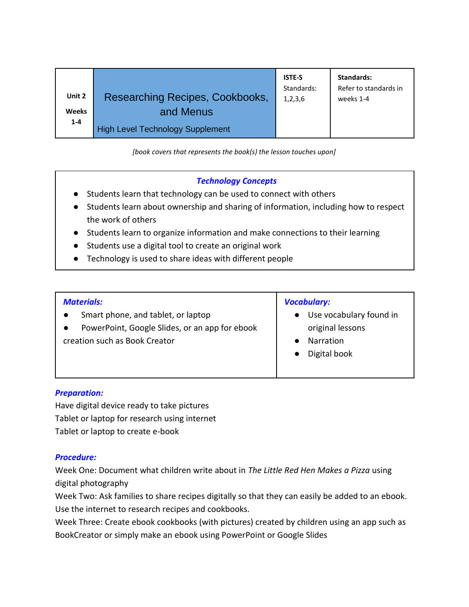| Unit 2       | Researching Recipes, Cookbooks,         | <b>ISTE-S</b> | Standards:            |
|--------------|-----------------------------------------|---------------|-----------------------|
| <b>Weeks</b> | and Menus                               | Standards:    | Refer to standards in |
| $1 - 4$      | <b>High Level Technology Supplement</b> | 1,2,3,6       | weeks 1-4             |

*[book covers that represents the book(s) the lesson touches upon]*

# *Technology Concepts*

- Students learn that technology can be used to connect with others
- Students learn about ownership and sharing of information, including how to respect the work of others
- Students learn to organize information and make connections to their learning
- Students use a digital tool to create an original work
- Technology is used to share ideas with different people

## *Materials:*

- Smart phone, and tablet, or laptop
- PowerPoint, Google Slides, or an app for ebook creation such as Book Creator

### *Vocabulary:*

- Use vocabulary found in original lessons
- Narration
- Digital book

# *Preparation:*

Have digital device ready to take pictures Tablet or laptop for research using internet Tablet or laptop to create e-book

# *Procedure:*

Week One: Document what children write about in *The Little Red Hen Makes a Pizza* using digital photography

Week Two: Ask families to share recipes digitally so that they can easily be added to an ebook. Use the internet to research recipes and cookbooks.

Week Three: Create ebook cookbooks (with pictures) created by children using an app such as BookCreator or simply make an ebook using PowerPoint or Google Slides